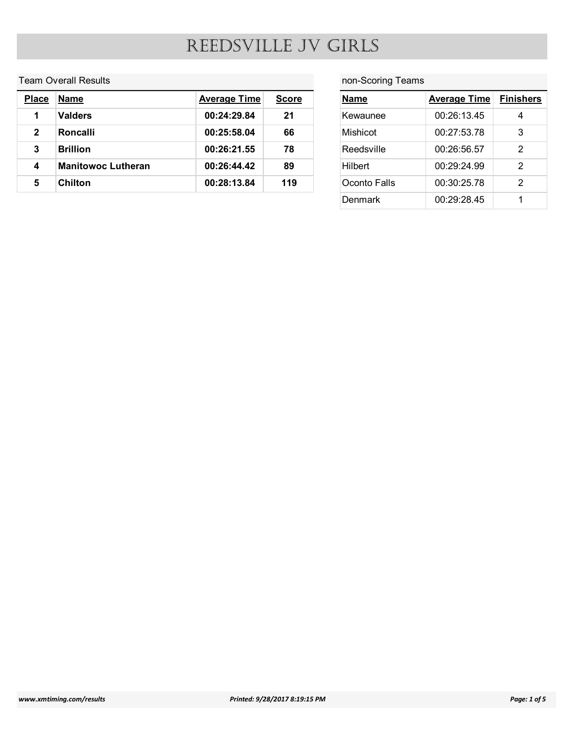#### Team Overall Results

|                         |                             |                     |              | REEDSVILLE JV GIRLS |                     |                       |
|-------------------------|-----------------------------|---------------------|--------------|---------------------|---------------------|-----------------------|
|                         |                             |                     |              |                     |                     |                       |
|                         | <b>Team Overall Results</b> |                     |              | non-Scoring Teams   |                     |                       |
| <b>Place</b>            | <b>Name</b>                 | <b>Average Time</b> | <b>Score</b> | <b>Name</b>         | <b>Average Time</b> |                       |
| $\mathbf{1}$            | <b>Valders</b>              | 00:24:29.84         | 21           | Kewaunee            | 00:26:13.45         | $\overline{4}$        |
| $\mathbf{2}$            | Roncalli                    | 00:25:58.04         | 66           | Mishicot            | 00:27:53.78         | <b>Finishers</b><br>3 |
| $\mathbf{3}$            | <b>Brillion</b>             | 00:26:21.55         | 78           | Reedsville          | 00:26:56.57         | $\overline{2}$        |
| $\overline{\mathbf{4}}$ | <b>Manitowoc Lutheran</b>   | 00:26:44.42         | 89           | Hilbert             | 00:29:24.99         | $\overline{2}$        |
| $5\phantom{.0}$         | <b>Chilton</b>              | 00:28:13.84         | 119          | Oconto Falls        | 00:30:25.78         | $\overline{2}$        |

### non-Scoring Teams

| IRLS              |                     |                  |
|-------------------|---------------------|------------------|
|                   |                     |                  |
| non-Scoring Teams |                     |                  |
|                   |                     |                  |
| <b>Name</b>       | <b>Average Time</b> | <b>Finishers</b> |
| Kewaunee          | 00:26:13.45         | $\overline{4}$   |
| Mishicot          | 00:27:53.78         | $\mathfrak{S}$   |
| Reedsville        | 00:26:56.57         | $\overline{2}$   |
| Hilbert           | 00:29:24.99         | $\overline{2}$   |
| Oconto Falls      | 00:30:25.78         | $\overline{2}$   |
| <b>Denmark</b>    | 00:29:28.45         | $\mathbf 1$      |
|                   |                     |                  |
|                   |                     |                  |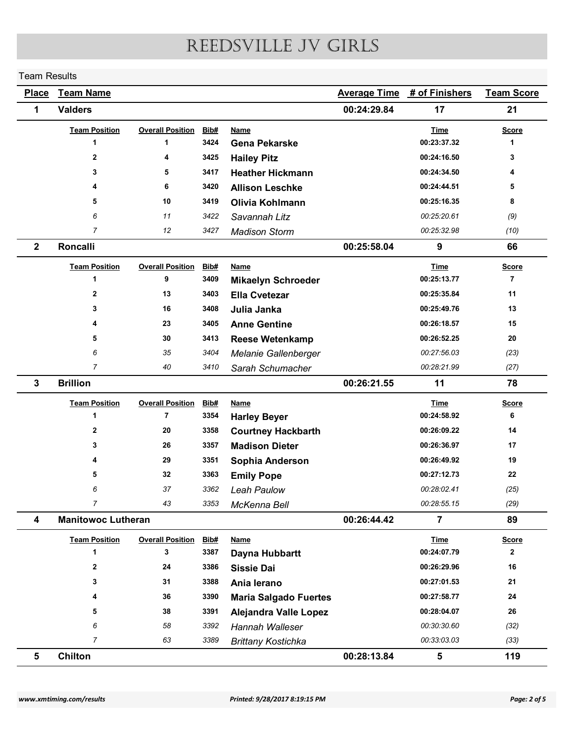#### Team Results

| REEDSVILLE JV GIRLS<br><b>Team Results</b><br><b>Team Name</b><br><b>Average Time</b><br># of Finishers<br><b>Place</b><br><b>Valders</b><br>00:24:29.84<br>17<br>21<br>1<br><b>Team Position</b><br><b>Overall Position</b><br>Bib#<br><b>Name</b><br><b>Time</b><br><b>Score</b><br>00:23:37.32<br>3424<br><b>Gena Pekarske</b><br>1<br>$\mathbf 1$<br>-1<br>00:24:16.50<br>$\mathbf{2}$<br>3425<br><b>Hailey Pitz</b><br>3<br>4<br>5<br>3417<br>00:24:34.50<br>3<br><b>Heather Hickmann</b><br>4<br>00:24:44.51<br>6<br>3420<br><b>Allison Leschke</b><br>5<br>4<br>5<br>10<br>3419<br>00:25:16.35<br>8<br>Olivia Kohlmann<br>$(9)$<br>11<br>3422<br>00:25:20.61<br>6<br>Savannah Litz<br>$\overline{7}$<br>3427<br>(10)<br>12<br>00:25:32.98<br><b>Madison Storm</b><br>Roncalli<br>00:25:58.04<br>9<br>66<br>$\overline{2}$<br><b>Team Position</b><br><b>Overall Position</b><br>Bib#<br><b>Name</b><br><b>Time</b><br><b>Score</b><br>$\overline{7}$<br>9<br>00:25:13.77<br>3409<br>$\overline{1}$<br><b>Mikaelyn Schroeder</b><br>13<br>00:25:35.84<br>11<br>$\mathbf{2}$<br>3403<br><b>Ella Cvetezar</b><br>00:25:49.76<br>13<br>16<br>3408<br>3<br>Julia Janka<br>23<br>3405<br>00:26:18.57<br>15<br><b>Anne Gentine</b><br>3413<br>00:26:52.25<br>${\bf 20}$<br>30<br><b>Reese Wetenkamp</b><br>5<br>35<br>3404<br>00:27:56.03<br>(23)<br>6<br>Melanie Gallenberger<br>$\overline{7}$<br>40<br>3410<br>00:28:21.99<br>(27)<br>Sarah Schumacher<br><b>Brillion</b><br>00:26:21.55<br>11<br>78<br>3<br><b>Team Position</b><br><b>Overall Position Bib#</b><br><b>Name</b><br><b>Time</b><br><b>Score</b><br>00:24:58.92<br>$\overline{7}$<br>3354<br>6<br><b>Harley Beyer</b><br>1<br>20<br>3358<br>00:26:09.22<br>14<br>$\mathbf{2}$<br><b>Courtney Hackbarth</b><br>26<br>3357<br>00:26:36.97<br>17<br>3<br><b>Madison Dieter</b><br>19<br>29<br>00:26:49.92<br>3351<br>Sophia Anderson<br>${\bf 22}$<br>32<br>3363<br>00:27:12.73<br>5<br><b>Emily Pope</b><br>37<br>3362<br>Leah Paulow<br>00:28:02.41<br>(25)<br>6<br>$\overline{7}$<br>43<br>00:28:55.15<br>(29)<br>3353<br>McKenna Bell<br><b>Manitowoc Lutheran</b><br>00:26:44.42<br>$\overline{7}$<br>89<br>4<br><b>Team Position</b><br><b>Overall Position</b><br><u>Bib#</u><br><b>Name</b><br><b>Time</b><br><b>Score</b><br>00:24:07.79<br>3<br>3387<br>$\mathbf{2}$<br>Dayna Hubbartt<br>1<br>16<br>$\mathbf{2}$<br>24<br>3386<br>00:26:29.96<br><b>Sissie Dai</b><br>31<br>3388<br>00:27:01.53<br>21<br>3<br>Ania lerano<br>${\bf 24}$<br>36<br>3390<br>00:27:58.77<br><b>Maria Salgado Fuertes</b><br>4<br>26<br>38<br>3391<br>00:28:04.07<br>5<br>Alejandra Valle Lopez<br>58<br>3392<br>(32)<br>00:30:30.60<br>6<br>Hannah Walleser<br>$\overline{7}$<br>63<br>(33)<br>3389<br><b>Brittany Kostichka</b><br>00:33:03.03<br>Chilton<br>00:28:13.84<br>$\sqrt{5}$<br>119<br>$5\phantom{.0}$<br>www.xmtiming.com/results<br>Printed: 9/28/2017 8:19:15 PM |  |  |  |                   |
|--------------------------------------------------------------------------------------------------------------------------------------------------------------------------------------------------------------------------------------------------------------------------------------------------------------------------------------------------------------------------------------------------------------------------------------------------------------------------------------------------------------------------------------------------------------------------------------------------------------------------------------------------------------------------------------------------------------------------------------------------------------------------------------------------------------------------------------------------------------------------------------------------------------------------------------------------------------------------------------------------------------------------------------------------------------------------------------------------------------------------------------------------------------------------------------------------------------------------------------------------------------------------------------------------------------------------------------------------------------------------------------------------------------------------------------------------------------------------------------------------------------------------------------------------------------------------------------------------------------------------------------------------------------------------------------------------------------------------------------------------------------------------------------------------------------------------------------------------------------------------------------------------------------------------------------------------------------------------------------------------------------------------------------------------------------------------------------------------------------------------------------------------------------------------------------------------------------------------------------------------------------------------------------------------------------------------------------------------------------------------------------------------------------------------------------------------------------------------------------------------------------------------------------------------------------------------------------------------------------------------------------------------------------------------------------------------------------------------------------------------------------------------------------------------------------------------------------------------------------------------------------------------------------------------------------|--|--|--|-------------------|
|                                                                                                                                                                                                                                                                                                                                                                                                                                                                                                                                                                                                                                                                                                                                                                                                                                                                                                                                                                                                                                                                                                                                                                                                                                                                                                                                                                                                                                                                                                                                                                                                                                                                                                                                                                                                                                                                                                                                                                                                                                                                                                                                                                                                                                                                                                                                                                                                                                                                                                                                                                                                                                                                                                                                                                                                                                                                                                                                      |  |  |  |                   |
|                                                                                                                                                                                                                                                                                                                                                                                                                                                                                                                                                                                                                                                                                                                                                                                                                                                                                                                                                                                                                                                                                                                                                                                                                                                                                                                                                                                                                                                                                                                                                                                                                                                                                                                                                                                                                                                                                                                                                                                                                                                                                                                                                                                                                                                                                                                                                                                                                                                                                                                                                                                                                                                                                                                                                                                                                                                                                                                                      |  |  |  |                   |
|                                                                                                                                                                                                                                                                                                                                                                                                                                                                                                                                                                                                                                                                                                                                                                                                                                                                                                                                                                                                                                                                                                                                                                                                                                                                                                                                                                                                                                                                                                                                                                                                                                                                                                                                                                                                                                                                                                                                                                                                                                                                                                                                                                                                                                                                                                                                                                                                                                                                                                                                                                                                                                                                                                                                                                                                                                                                                                                                      |  |  |  | <b>Team Score</b> |
|                                                                                                                                                                                                                                                                                                                                                                                                                                                                                                                                                                                                                                                                                                                                                                                                                                                                                                                                                                                                                                                                                                                                                                                                                                                                                                                                                                                                                                                                                                                                                                                                                                                                                                                                                                                                                                                                                                                                                                                                                                                                                                                                                                                                                                                                                                                                                                                                                                                                                                                                                                                                                                                                                                                                                                                                                                                                                                                                      |  |  |  |                   |
|                                                                                                                                                                                                                                                                                                                                                                                                                                                                                                                                                                                                                                                                                                                                                                                                                                                                                                                                                                                                                                                                                                                                                                                                                                                                                                                                                                                                                                                                                                                                                                                                                                                                                                                                                                                                                                                                                                                                                                                                                                                                                                                                                                                                                                                                                                                                                                                                                                                                                                                                                                                                                                                                                                                                                                                                                                                                                                                                      |  |  |  |                   |
|                                                                                                                                                                                                                                                                                                                                                                                                                                                                                                                                                                                                                                                                                                                                                                                                                                                                                                                                                                                                                                                                                                                                                                                                                                                                                                                                                                                                                                                                                                                                                                                                                                                                                                                                                                                                                                                                                                                                                                                                                                                                                                                                                                                                                                                                                                                                                                                                                                                                                                                                                                                                                                                                                                                                                                                                                                                                                                                                      |  |  |  |                   |
|                                                                                                                                                                                                                                                                                                                                                                                                                                                                                                                                                                                                                                                                                                                                                                                                                                                                                                                                                                                                                                                                                                                                                                                                                                                                                                                                                                                                                                                                                                                                                                                                                                                                                                                                                                                                                                                                                                                                                                                                                                                                                                                                                                                                                                                                                                                                                                                                                                                                                                                                                                                                                                                                                                                                                                                                                                                                                                                                      |  |  |  |                   |
|                                                                                                                                                                                                                                                                                                                                                                                                                                                                                                                                                                                                                                                                                                                                                                                                                                                                                                                                                                                                                                                                                                                                                                                                                                                                                                                                                                                                                                                                                                                                                                                                                                                                                                                                                                                                                                                                                                                                                                                                                                                                                                                                                                                                                                                                                                                                                                                                                                                                                                                                                                                                                                                                                                                                                                                                                                                                                                                                      |  |  |  |                   |
|                                                                                                                                                                                                                                                                                                                                                                                                                                                                                                                                                                                                                                                                                                                                                                                                                                                                                                                                                                                                                                                                                                                                                                                                                                                                                                                                                                                                                                                                                                                                                                                                                                                                                                                                                                                                                                                                                                                                                                                                                                                                                                                                                                                                                                                                                                                                                                                                                                                                                                                                                                                                                                                                                                                                                                                                                                                                                                                                      |  |  |  |                   |
|                                                                                                                                                                                                                                                                                                                                                                                                                                                                                                                                                                                                                                                                                                                                                                                                                                                                                                                                                                                                                                                                                                                                                                                                                                                                                                                                                                                                                                                                                                                                                                                                                                                                                                                                                                                                                                                                                                                                                                                                                                                                                                                                                                                                                                                                                                                                                                                                                                                                                                                                                                                                                                                                                                                                                                                                                                                                                                                                      |  |  |  |                   |
|                                                                                                                                                                                                                                                                                                                                                                                                                                                                                                                                                                                                                                                                                                                                                                                                                                                                                                                                                                                                                                                                                                                                                                                                                                                                                                                                                                                                                                                                                                                                                                                                                                                                                                                                                                                                                                                                                                                                                                                                                                                                                                                                                                                                                                                                                                                                                                                                                                                                                                                                                                                                                                                                                                                                                                                                                                                                                                                                      |  |  |  |                   |
|                                                                                                                                                                                                                                                                                                                                                                                                                                                                                                                                                                                                                                                                                                                                                                                                                                                                                                                                                                                                                                                                                                                                                                                                                                                                                                                                                                                                                                                                                                                                                                                                                                                                                                                                                                                                                                                                                                                                                                                                                                                                                                                                                                                                                                                                                                                                                                                                                                                                                                                                                                                                                                                                                                                                                                                                                                                                                                                                      |  |  |  |                   |
|                                                                                                                                                                                                                                                                                                                                                                                                                                                                                                                                                                                                                                                                                                                                                                                                                                                                                                                                                                                                                                                                                                                                                                                                                                                                                                                                                                                                                                                                                                                                                                                                                                                                                                                                                                                                                                                                                                                                                                                                                                                                                                                                                                                                                                                                                                                                                                                                                                                                                                                                                                                                                                                                                                                                                                                                                                                                                                                                      |  |  |  |                   |
|                                                                                                                                                                                                                                                                                                                                                                                                                                                                                                                                                                                                                                                                                                                                                                                                                                                                                                                                                                                                                                                                                                                                                                                                                                                                                                                                                                                                                                                                                                                                                                                                                                                                                                                                                                                                                                                                                                                                                                                                                                                                                                                                                                                                                                                                                                                                                                                                                                                                                                                                                                                                                                                                                                                                                                                                                                                                                                                                      |  |  |  |                   |
|                                                                                                                                                                                                                                                                                                                                                                                                                                                                                                                                                                                                                                                                                                                                                                                                                                                                                                                                                                                                                                                                                                                                                                                                                                                                                                                                                                                                                                                                                                                                                                                                                                                                                                                                                                                                                                                                                                                                                                                                                                                                                                                                                                                                                                                                                                                                                                                                                                                                                                                                                                                                                                                                                                                                                                                                                                                                                                                                      |  |  |  |                   |
|                                                                                                                                                                                                                                                                                                                                                                                                                                                                                                                                                                                                                                                                                                                                                                                                                                                                                                                                                                                                                                                                                                                                                                                                                                                                                                                                                                                                                                                                                                                                                                                                                                                                                                                                                                                                                                                                                                                                                                                                                                                                                                                                                                                                                                                                                                                                                                                                                                                                                                                                                                                                                                                                                                                                                                                                                                                                                                                                      |  |  |  |                   |
|                                                                                                                                                                                                                                                                                                                                                                                                                                                                                                                                                                                                                                                                                                                                                                                                                                                                                                                                                                                                                                                                                                                                                                                                                                                                                                                                                                                                                                                                                                                                                                                                                                                                                                                                                                                                                                                                                                                                                                                                                                                                                                                                                                                                                                                                                                                                                                                                                                                                                                                                                                                                                                                                                                                                                                                                                                                                                                                                      |  |  |  |                   |
|                                                                                                                                                                                                                                                                                                                                                                                                                                                                                                                                                                                                                                                                                                                                                                                                                                                                                                                                                                                                                                                                                                                                                                                                                                                                                                                                                                                                                                                                                                                                                                                                                                                                                                                                                                                                                                                                                                                                                                                                                                                                                                                                                                                                                                                                                                                                                                                                                                                                                                                                                                                                                                                                                                                                                                                                                                                                                                                                      |  |  |  |                   |
|                                                                                                                                                                                                                                                                                                                                                                                                                                                                                                                                                                                                                                                                                                                                                                                                                                                                                                                                                                                                                                                                                                                                                                                                                                                                                                                                                                                                                                                                                                                                                                                                                                                                                                                                                                                                                                                                                                                                                                                                                                                                                                                                                                                                                                                                                                                                                                                                                                                                                                                                                                                                                                                                                                                                                                                                                                                                                                                                      |  |  |  |                   |
|                                                                                                                                                                                                                                                                                                                                                                                                                                                                                                                                                                                                                                                                                                                                                                                                                                                                                                                                                                                                                                                                                                                                                                                                                                                                                                                                                                                                                                                                                                                                                                                                                                                                                                                                                                                                                                                                                                                                                                                                                                                                                                                                                                                                                                                                                                                                                                                                                                                                                                                                                                                                                                                                                                                                                                                                                                                                                                                                      |  |  |  |                   |
|                                                                                                                                                                                                                                                                                                                                                                                                                                                                                                                                                                                                                                                                                                                                                                                                                                                                                                                                                                                                                                                                                                                                                                                                                                                                                                                                                                                                                                                                                                                                                                                                                                                                                                                                                                                                                                                                                                                                                                                                                                                                                                                                                                                                                                                                                                                                                                                                                                                                                                                                                                                                                                                                                                                                                                                                                                                                                                                                      |  |  |  |                   |
|                                                                                                                                                                                                                                                                                                                                                                                                                                                                                                                                                                                                                                                                                                                                                                                                                                                                                                                                                                                                                                                                                                                                                                                                                                                                                                                                                                                                                                                                                                                                                                                                                                                                                                                                                                                                                                                                                                                                                                                                                                                                                                                                                                                                                                                                                                                                                                                                                                                                                                                                                                                                                                                                                                                                                                                                                                                                                                                                      |  |  |  |                   |
|                                                                                                                                                                                                                                                                                                                                                                                                                                                                                                                                                                                                                                                                                                                                                                                                                                                                                                                                                                                                                                                                                                                                                                                                                                                                                                                                                                                                                                                                                                                                                                                                                                                                                                                                                                                                                                                                                                                                                                                                                                                                                                                                                                                                                                                                                                                                                                                                                                                                                                                                                                                                                                                                                                                                                                                                                                                                                                                                      |  |  |  |                   |
|                                                                                                                                                                                                                                                                                                                                                                                                                                                                                                                                                                                                                                                                                                                                                                                                                                                                                                                                                                                                                                                                                                                                                                                                                                                                                                                                                                                                                                                                                                                                                                                                                                                                                                                                                                                                                                                                                                                                                                                                                                                                                                                                                                                                                                                                                                                                                                                                                                                                                                                                                                                                                                                                                                                                                                                                                                                                                                                                      |  |  |  |                   |
|                                                                                                                                                                                                                                                                                                                                                                                                                                                                                                                                                                                                                                                                                                                                                                                                                                                                                                                                                                                                                                                                                                                                                                                                                                                                                                                                                                                                                                                                                                                                                                                                                                                                                                                                                                                                                                                                                                                                                                                                                                                                                                                                                                                                                                                                                                                                                                                                                                                                                                                                                                                                                                                                                                                                                                                                                                                                                                                                      |  |  |  |                   |
|                                                                                                                                                                                                                                                                                                                                                                                                                                                                                                                                                                                                                                                                                                                                                                                                                                                                                                                                                                                                                                                                                                                                                                                                                                                                                                                                                                                                                                                                                                                                                                                                                                                                                                                                                                                                                                                                                                                                                                                                                                                                                                                                                                                                                                                                                                                                                                                                                                                                                                                                                                                                                                                                                                                                                                                                                                                                                                                                      |  |  |  |                   |
|                                                                                                                                                                                                                                                                                                                                                                                                                                                                                                                                                                                                                                                                                                                                                                                                                                                                                                                                                                                                                                                                                                                                                                                                                                                                                                                                                                                                                                                                                                                                                                                                                                                                                                                                                                                                                                                                                                                                                                                                                                                                                                                                                                                                                                                                                                                                                                                                                                                                                                                                                                                                                                                                                                                                                                                                                                                                                                                                      |  |  |  |                   |
|                                                                                                                                                                                                                                                                                                                                                                                                                                                                                                                                                                                                                                                                                                                                                                                                                                                                                                                                                                                                                                                                                                                                                                                                                                                                                                                                                                                                                                                                                                                                                                                                                                                                                                                                                                                                                                                                                                                                                                                                                                                                                                                                                                                                                                                                                                                                                                                                                                                                                                                                                                                                                                                                                                                                                                                                                                                                                                                                      |  |  |  |                   |
|                                                                                                                                                                                                                                                                                                                                                                                                                                                                                                                                                                                                                                                                                                                                                                                                                                                                                                                                                                                                                                                                                                                                                                                                                                                                                                                                                                                                                                                                                                                                                                                                                                                                                                                                                                                                                                                                                                                                                                                                                                                                                                                                                                                                                                                                                                                                                                                                                                                                                                                                                                                                                                                                                                                                                                                                                                                                                                                                      |  |  |  |                   |
|                                                                                                                                                                                                                                                                                                                                                                                                                                                                                                                                                                                                                                                                                                                                                                                                                                                                                                                                                                                                                                                                                                                                                                                                                                                                                                                                                                                                                                                                                                                                                                                                                                                                                                                                                                                                                                                                                                                                                                                                                                                                                                                                                                                                                                                                                                                                                                                                                                                                                                                                                                                                                                                                                                                                                                                                                                                                                                                                      |  |  |  |                   |
|                                                                                                                                                                                                                                                                                                                                                                                                                                                                                                                                                                                                                                                                                                                                                                                                                                                                                                                                                                                                                                                                                                                                                                                                                                                                                                                                                                                                                                                                                                                                                                                                                                                                                                                                                                                                                                                                                                                                                                                                                                                                                                                                                                                                                                                                                                                                                                                                                                                                                                                                                                                                                                                                                                                                                                                                                                                                                                                                      |  |  |  |                   |
|                                                                                                                                                                                                                                                                                                                                                                                                                                                                                                                                                                                                                                                                                                                                                                                                                                                                                                                                                                                                                                                                                                                                                                                                                                                                                                                                                                                                                                                                                                                                                                                                                                                                                                                                                                                                                                                                                                                                                                                                                                                                                                                                                                                                                                                                                                                                                                                                                                                                                                                                                                                                                                                                                                                                                                                                                                                                                                                                      |  |  |  |                   |
|                                                                                                                                                                                                                                                                                                                                                                                                                                                                                                                                                                                                                                                                                                                                                                                                                                                                                                                                                                                                                                                                                                                                                                                                                                                                                                                                                                                                                                                                                                                                                                                                                                                                                                                                                                                                                                                                                                                                                                                                                                                                                                                                                                                                                                                                                                                                                                                                                                                                                                                                                                                                                                                                                                                                                                                                                                                                                                                                      |  |  |  |                   |
|                                                                                                                                                                                                                                                                                                                                                                                                                                                                                                                                                                                                                                                                                                                                                                                                                                                                                                                                                                                                                                                                                                                                                                                                                                                                                                                                                                                                                                                                                                                                                                                                                                                                                                                                                                                                                                                                                                                                                                                                                                                                                                                                                                                                                                                                                                                                                                                                                                                                                                                                                                                                                                                                                                                                                                                                                                                                                                                                      |  |  |  |                   |
|                                                                                                                                                                                                                                                                                                                                                                                                                                                                                                                                                                                                                                                                                                                                                                                                                                                                                                                                                                                                                                                                                                                                                                                                                                                                                                                                                                                                                                                                                                                                                                                                                                                                                                                                                                                                                                                                                                                                                                                                                                                                                                                                                                                                                                                                                                                                                                                                                                                                                                                                                                                                                                                                                                                                                                                                                                                                                                                                      |  |  |  |                   |
|                                                                                                                                                                                                                                                                                                                                                                                                                                                                                                                                                                                                                                                                                                                                                                                                                                                                                                                                                                                                                                                                                                                                                                                                                                                                                                                                                                                                                                                                                                                                                                                                                                                                                                                                                                                                                                                                                                                                                                                                                                                                                                                                                                                                                                                                                                                                                                                                                                                                                                                                                                                                                                                                                                                                                                                                                                                                                                                                      |  |  |  |                   |
|                                                                                                                                                                                                                                                                                                                                                                                                                                                                                                                                                                                                                                                                                                                                                                                                                                                                                                                                                                                                                                                                                                                                                                                                                                                                                                                                                                                                                                                                                                                                                                                                                                                                                                                                                                                                                                                                                                                                                                                                                                                                                                                                                                                                                                                                                                                                                                                                                                                                                                                                                                                                                                                                                                                                                                                                                                                                                                                                      |  |  |  |                   |
|                                                                                                                                                                                                                                                                                                                                                                                                                                                                                                                                                                                                                                                                                                                                                                                                                                                                                                                                                                                                                                                                                                                                                                                                                                                                                                                                                                                                                                                                                                                                                                                                                                                                                                                                                                                                                                                                                                                                                                                                                                                                                                                                                                                                                                                                                                                                                                                                                                                                                                                                                                                                                                                                                                                                                                                                                                                                                                                                      |  |  |  |                   |
|                                                                                                                                                                                                                                                                                                                                                                                                                                                                                                                                                                                                                                                                                                                                                                                                                                                                                                                                                                                                                                                                                                                                                                                                                                                                                                                                                                                                                                                                                                                                                                                                                                                                                                                                                                                                                                                                                                                                                                                                                                                                                                                                                                                                                                                                                                                                                                                                                                                                                                                                                                                                                                                                                                                                                                                                                                                                                                                                      |  |  |  |                   |
|                                                                                                                                                                                                                                                                                                                                                                                                                                                                                                                                                                                                                                                                                                                                                                                                                                                                                                                                                                                                                                                                                                                                                                                                                                                                                                                                                                                                                                                                                                                                                                                                                                                                                                                                                                                                                                                                                                                                                                                                                                                                                                                                                                                                                                                                                                                                                                                                                                                                                                                                                                                                                                                                                                                                                                                                                                                                                                                                      |  |  |  |                   |
|                                                                                                                                                                                                                                                                                                                                                                                                                                                                                                                                                                                                                                                                                                                                                                                                                                                                                                                                                                                                                                                                                                                                                                                                                                                                                                                                                                                                                                                                                                                                                                                                                                                                                                                                                                                                                                                                                                                                                                                                                                                                                                                                                                                                                                                                                                                                                                                                                                                                                                                                                                                                                                                                                                                                                                                                                                                                                                                                      |  |  |  | Page: 2 of 5      |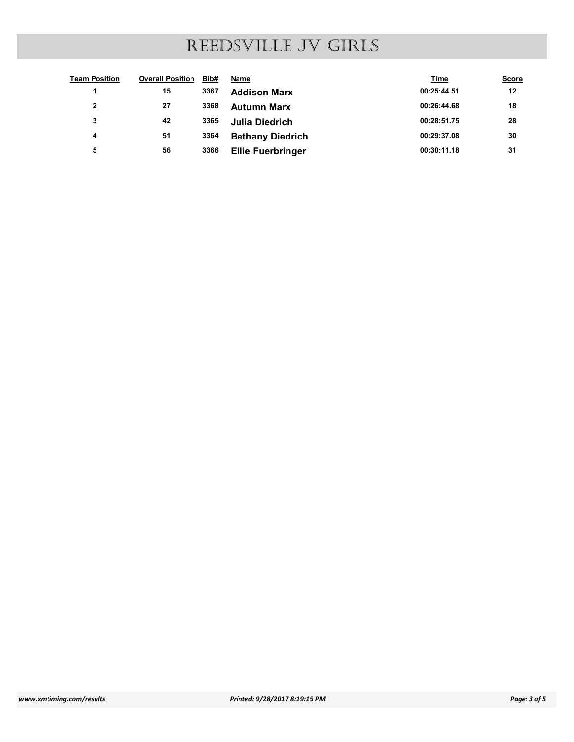|                              |                              | REEDSVILLE JV GIRLS                              |                            |              |
|------------------------------|------------------------------|--------------------------------------------------|----------------------------|--------------|
| <b>Team Position</b>         | <b>Overall Position Bib#</b> | <b>Name</b>                                      | <b>Time</b>                | <b>Score</b> |
| $\blacktriangleleft$         | 3367<br>15                   | <b>Addison Marx</b>                              | 00:25:44.51                | 12           |
| $\mathbf{2}$                 | 27<br>3368                   | <b>Autumn Marx</b>                               | 00:26:44.68                | 18           |
| 3<br>$\overline{\mathbf{4}}$ | 42<br>3365<br>51<br>3364     | <b>Julia Diedrich</b><br><b>Bethany Diedrich</b> | 00:28:51.75<br>00:29:37.08 | 28<br>30     |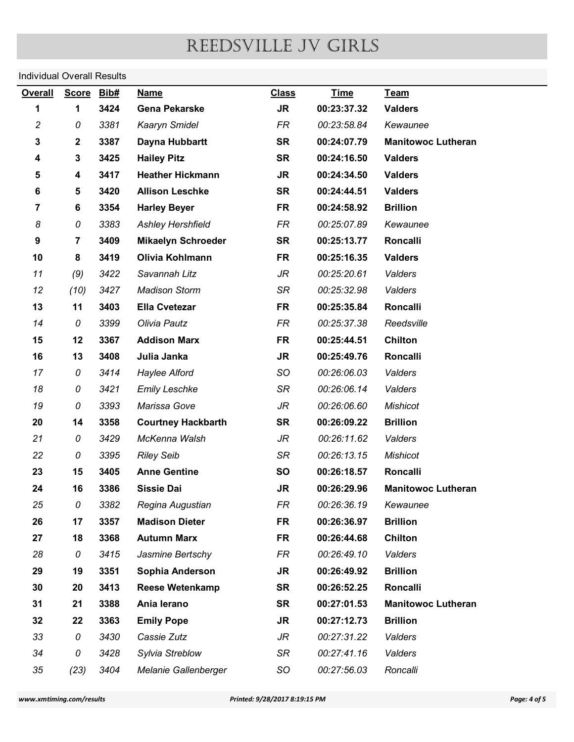# Individual Overall Results

| <b>Individual Overall Results</b> |                |              |                                      |                               |                            |                           |              |
|-----------------------------------|----------------|--------------|--------------------------------------|-------------------------------|----------------------------|---------------------------|--------------|
| <b>Overall</b>                    | <b>Score</b>   | Bib#         | <b>Name</b>                          | <b>Class</b>                  | <b>Time</b>                | Team                      |              |
| 1                                 | $\mathbf 1$    | 3424         | <b>Gena Pekarske</b>                 | <b>JR</b>                     | 00:23:37.32                | <b>Valders</b>            |              |
| $\overline{c}$                    | 0              | 3381         | Kaaryn Smidel                        | FR                            | 00:23:58.84                | Kewaunee                  |              |
| 3                                 | $\mathbf 2$    | 3387         | Dayna Hubbartt                       | <b>SR</b>                     | 00:24:07.79                | <b>Manitowoc Lutheran</b> |              |
| 4                                 | 3              | 3425         | <b>Hailey Pitz</b>                   | <b>SR</b>                     | 00:24:16.50                | <b>Valders</b>            |              |
| 5                                 | 4              | 3417         | <b>Heather Hickmann</b>              | <b>JR</b>                     | 00:24:34.50                | <b>Valders</b>            |              |
| 6                                 | 5              | 3420         | <b>Allison Leschke</b>               | <b>SR</b>                     | 00:24:44.51                | <b>Valders</b>            |              |
| $\overline{7}$                    | 6              | 3354         | <b>Harley Beyer</b>                  | <b>FR</b>                     | 00:24:58.92                | <b>Brillion</b>           |              |
| 8                                 | 0              | 3383         | <b>Ashley Hershfield</b>             | <b>FR</b>                     | 00:25:07.89                | Kewaunee                  |              |
| 9                                 | $\overline{7}$ | 3409         | <b>Mikaelyn Schroeder</b>            | <b>SR</b>                     | 00:25:13.77                | <b>Roncalli</b>           |              |
| 10                                | 8              | 3419         | Olivia Kohlmann                      | <b>FR</b>                     | 00:25:16.35                | <b>Valders</b>            |              |
| 11                                | (9)            | 3422         | Savannah Litz                        | JR                            | 00:25:20.61                | Valders                   |              |
| 12                                | (10)           | 3427         | <b>Madison Storm</b>                 | SR                            | 00:25:32.98                | Valders                   |              |
| 13                                | 11             | 3403         | <b>Ella Cvetezar</b>                 | <b>FR</b>                     | 00:25:35.84                | Roncalli                  |              |
| 14                                | 0              | 3399         | Olivia Pautz                         | FR                            | 00:25:37.38                | Reedsville                |              |
| 15                                | 12             | 3367         | <b>Addison Marx</b>                  | <b>FR</b>                     | 00:25:44.51                | Chilton                   |              |
| 16                                | 13             | 3408         | Julia Janka                          | <b>JR</b>                     | 00:25:49.76                | Roncalli                  |              |
| 17                                | 0              | 3414<br>3421 | Haylee Alford                        | SO<br>SR                      | 00:26:06.03<br>00:26:06.14 | Valders<br>Valders        |              |
| 18<br>19                          | 0<br>0         | 3393         | <b>Emily Leschke</b><br>Marissa Gove | JR                            | 00:26:06.60                | <b>Mishicot</b>           |              |
| 20                                | 14             | 3358         | <b>Courtney Hackbarth</b>            | <b>SR</b>                     | 00:26:09.22                | <b>Brillion</b>           |              |
| 21                                | 0              | 3429         | McKenna Walsh                        | JR                            | 00:26:11.62                | Valders                   |              |
| 22                                | 0              | 3395         | <b>Riley Seib</b>                    | SR                            | 00:26:13.15                | <b>Mishicot</b>           |              |
| 23                                | 15             | 3405         | <b>Anne Gentine</b>                  | SO                            | 00:26:18.57                | Roncalli                  |              |
| 24                                | 16             | 3386         | <b>Sissie Dai</b>                    | JR                            | 00:26:29.96                | <b>Manitowoc Lutheran</b> |              |
| 25                                | 0              | 3382         | Regina Augustian                     | FR                            | 00:26:36.19                | Kewaunee                  |              |
| 26                                | 17             | 3357         | <b>Madison Dieter</b>                | <b>FR</b>                     | 00:26:36.97                | <b>Brillion</b>           |              |
| 27                                | 18             | 3368         | <b>Autumn Marx</b>                   | <b>FR</b>                     | 00:26:44.68                | <b>Chilton</b>            |              |
| 28                                | 0              | 3415         | Jasmine Bertschy                     | FR                            | 00:26:49.10                | Valders                   |              |
| 29                                | 19             | 3351         | Sophia Anderson                      | <b>JR</b>                     | 00:26:49.92                | <b>Brillion</b>           |              |
| 30                                | 20             | 3413         | <b>Reese Wetenkamp</b>               | <b>SR</b>                     | 00:26:52.25                | Roncalli                  |              |
| 31                                | 21             | 3388         | Ania lerano                          | <b>SR</b>                     | 00:27:01.53                | <b>Manitowoc Lutheran</b> |              |
| 32                                | 22             | 3363         | <b>Emily Pope</b>                    | JR                            | 00:27:12.73                | <b>Brillion</b>           |              |
| 33                                | 0              | 3430         | Cassie Zutz                          | JR                            | 00:27:31.22                | Valders                   |              |
| 34                                | 0              | 3428         | Sylvia Streblow                      | SR                            | 00:27:41.16                | Valders                   |              |
| 35                                | (23)           | 3404         | Melanie Gallenberger                 | SO                            | 00:27:56.03                | Roncalli                  |              |
| www.xmtiming.com/results          |                |              |                                      | Printed: 9/28/2017 8:19:15 PM |                            |                           | Page: 4 of 5 |
|                                   |                |              |                                      |                               |                            |                           |              |